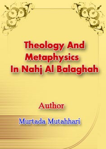# **Theology And Metaphysics** In Nahj Al Balaghah

# Author

# Murtada Mutahhari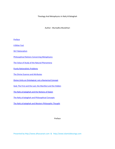Theology And Metaphysics In Nahj Al Balaghah

Author : Murtadha Mutahhari

**Preface** 

A Bitter Fact

Shi'i Rationalism

Philosophical Notions Concerning Metaphysics

The Value of Study of the Natural Phenomena

Purely Rationalistic Problems

The Divine Essence and Attributes

Divine Unity an Ontological, not a Numerical Concept

God, The First and the Last; the Manifest and the Hidden

The Nahj al-balaghah and the Notions of Kalam

The Nahj al‐balaghah and Philosophical Concepts

The Nahj al-balaghah and Western Philosophic Thought

Preface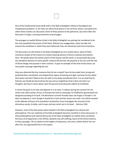

One of the fundamental issues dealt with in the Nahj al‐balaghah relates to theological and metaphysical problems. In all, there are about forty places in the sermons, letters, and aphorisms where these matters are discussed. Some of these pertain to the aphorisms, but more often the discussion is longer, covering sometimes several pages.

The passages on tawhid (Divine Unity) in the Nahj al‐balaghah can perhaps be considered to be the most wonderful discussions of the book. Without any exaggeration, when we take into account the conditions in which they were delivered, they can almost be said to be miraculous.

The discussions on this theme in the Nahj al‐balaghah are of a varied nature. Some of them constitute studies of the scheme of creation bearing witness to Divine creativity and wisdom. Here, 'Ali speaks about the whole system of the heaven and the earth, or occasionally discusses the wonderful features of some specific creature like the bat, the peacock or the ant, and the role of Divine design and purpose in their creation. To give an example of this kind of discussion, we may quote a passage regarding the ant:

Have you observed the tiny creatures that He has created? How He has made them strong and perfected their constitution and shaped their organs of hearing and sight, and how He has styled their bones and skin? Observe the ant with its tiny body and delicate form. It is so small that its features can hardly be discerned by the eye and so insignificant that it does not enter our thoughts. See how it roams about upon the ground and arduously collects its livelihood.

It carries the grain to its hole and deposits it in its store. It collects during the summer for the winter and, when winter arrives, it foresees the time to reemerge. Its livelihood is guaranteed and designed according to its built. The Benefactor and the Provider does not forget or forsake it. He does not deprive it, even though it should be in hard and dry stones and rocks. You will be amazed at the delicate intricacy of its wonderful constitution if you investigate the structure of its alimentary canals, its belly, and its eyes and ears which are in its head ... (Sermon 185)

However, most of the discussions about tawhid in the Nahj al‐balaghah are rational and philosophical. The rare sublimity of the Nahj al‐balaghah becomes manifest in these discourses. In these philosophical and rational discourses of the Nahj al‐balaghah on tawhid what constitutes the focus of all arguments is the infinite, absolute and self‐sufficing nature of the Divine Essence. In these passages, 'Ali ('a) attains to the heights of eloquence, and none, neither before him nor after him, has approached him in this aspect.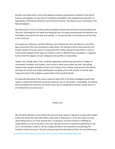Another issue dealt with is that of the absolute simplicity (al‐basatatal‐mutlaqah) of the Divine Essence and negation of every kind of multiplicity, divisibility in the Godhead and refutation of separability of the Divine Attributes from the Divine Essence. This theme occurs repeatedly in the Nahj al‐balaghah.

Also discussed is a series of other profound problems which had never been touched before him. They are: God being the First while also being the Last; His being simultaneously the Manifest and the Hidden; His priority over time and number, i.e. His pre-eternity is not temporal and His Unity is not numerical;

His Supremacy, Authority, and Self‐sufficiency; His Creativeness; that attendance to one affair does not prevent Him from attending to other affairs; the identity of Divine Word and Act; the limited capacity of human reason to comprehend His reality; that gnosis (ma'rifah) is a kind of manifestation (tajalli) of Him upon the intellects, which is different from conception or cognition by the mind; the negation of such categories and qualities as corporeality,

motion, rest, change, place, time, similarity, opposition, partnership, possession of organs or instruments, limitation and number; and a series of other issues which we shall, God willing, mention later and give examples of every one of these. Even a thinker well-versed in the beliefs and views of ancient and modern philosophers would be struck with wonder to see the wide range and scope of the problems propounded in that wonderful book.

An elaborate discussion of the issues raised and dealt with in the Nahj al‐balaghah would itself require a voluminous book and cannot be covered in one or two articles. Unavoidably, we shall be brief; but before we commence our brief survey, we are compelled to mention certain points as an introduction to our discussion.

#### A Bitter Fact

We, the Shi'ah Muslims, must confess that we have been unjust in regard to our duty with respect to the man whom we, more than others, take pride in following; or, at the very least, we must admit falling short in our duty towards him. In substance, any kind of failure in fulfilling our responsibility is an act of injustice on our part. We did not want to realize the significance of 'Ali ('a), or we had been unable to. All our energy and labour were devoted to proclaiming the Prophet's statements about 'Ali and to denouncing those who ignored them, but we failed to pay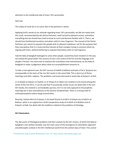attention to the intellectual side of Imam 'Ali's personality.

Sadi says:

The reality of musk lies in its scent, Not in the perfumer's advice.

Applying Sa'di's words to our attitude regarding Imam 'Ali's personality, we did not realize that this musk, recommended by the Divine Perfumer, itself carried its pleasant aroma, and before everything else we should have tried to know its scent and become familiar with it. That is, we should have familiarized ourselves and others with its inner fragrance. The counsel of the Divine Perfumer was meant to acquaint the people with its pleasant redolence, not for the purpose that they may believe that it is musk and then devote all their energies trying to convince others by arguing with them, without bothering to acquaint themselves with its real fragrance.

Had the Nahj al‐balaghah belonged to some other people, would they have treated it in the way we treated this great book? The country of Iran is the centre of Shi'ism and the language of its people is Persian. You have only to examine the translations and commentaries on the Nahj al‐ balaghah to make a judgement about what our accomplishment amounts to.

To take a more general case, the Shi'i sources of hadith (tradition) and texts of du'a' (prayers) are incomparable to the texts of the non‐Shi'i works in the same field. This is also true of Divine teachings and other subjects. The problems and issues discussed in works like al‐Kulayni's al‐Kafi,

or al‐Shaykh al‐Saduq's al‐Tawhid, or al‐'Ihtijaj of al‐Tabarsi are nowhere to be found among the works of the non-Shi'is. It can be said that if occasionally similar issues are dealt with in the non-Shi'i books, the material is unmistakably spurious, for it is not only opposed to the prophetic teachings but is also contradictory to the Quranic fundamentals. There is a strong smell of anthropomorphism which hangs around them.

Recently, Hashim Ma'ruf al‐Hasani, in his book Dirasat fi al‐Kafi li al‐Kulayni wa al‐Sahih li al‐ Bukhari, which is an original but a brief comparative study of al‐Sahih of al‐Bukhari and al‐ Kulayni's al‐Kafi, has dealt with the traditions related to the problems of theology.

#### **Shi'i Rationalism**

The discussion of theological problems and their analysis by the Shi'i Imams, of which the Nahj al‐ balaghah is the earliest example, was the main cause of the emergence of rationalistic approach and philosophic outlook in the Shi'i intellectual world from the earliest days of Islam. This cannot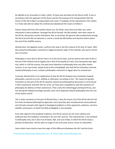be labelled as an innovation in Islam; rather, its basis was laid down by the Quran itself. It was in accordance with the approach of the Quran and for the purpose of its interpretation that the Imams of the Ahl al‐Bayt ('a) expounded such issues. If anybody can be reproached in this matter, it is those who did not adopt this method and abandoned the means to follow it.

History shows that from the earliest Islamic era, the Shiah, more than any other sect, were interested in these problems. Amongst the Ahl al‐Sunnah, the Mu'tazilites, who were nearer to the Shi'ah, did possess similar inclinations. But, as we know, the general view predominant among the Ahl al‐Sunnah did not welcome it, and as a result the Mu'tazilite sect became extinct about the end of the 3rd/9th century .

Ahmad Amin, the Egyptian writer, confirms this view in the first volume of his Zuhr al‐'Islam. After discussing the philosophic movement in Egypt during the reign of the Fatimids, who were a Shi'ah sect, he writes:

Philosophy is more akin to Shi'ism than it is to the Sunni Islam, and we witness the truth of this in the era of the Fatimid rule [in Egypt] and in that of the Buyids [in Iran]. Even during the later ages Iran, which is a Shi'ite country, has paid more attention to philosophy than any other Islamic country. In our own times, Sayyid Jamal al‐Din al Asadabadi, who had Shi'ite inclinations and had studied philosophy in Iran, created a philosophic movement in Egypt when he arrived here.

Curiously, Ahmad Amin in his explanation of why the Shi'ah showed more inclination towards philosophy, commits an error, willfully or otherwise. According to him, "the reason for greater inclination on the part of the Shi'ah towards rational and philosophical discussions is to be found in their esotericism and their flair for ta'wil. [1] They were compelled to seek the assistance of philosophy for defence of their esotericism. That is why the Fatimid Egypt and Buyid Persia, and Iran during the Safawid and Qajar periods, were more disposed towards philosophy than the rest of the Islamic world."

This is sheer nonsense on the part of Ahmad Amin. It was the Imams ('a) of the Shi'ah who for the first time introduced philosophical approach, and it was they who introduced the most profound and intricate concepts with regard to theological problems in their arguments, polemics, sermons, ahadith, and prayers, of which the Nahj al‐balaghah is one example.

Even with regard to the prophetic traditions, the Shi'ah sources are far more sublime and profound than the traditions contained in the non‐Shi'i sources. This characteristic is not confined to philosophy only, but is also true of kalam, fiqh, and usul al‐fiqh, in which the Shi'ah enjoy a position of distinction. All this owes its origin to one and same source: stress on rationalism.

Some others have tried to trace the origin of this difference [between the Shi'i and the Sunni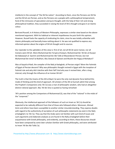intellects] in the concept of "the Shi'ite nation". According to them, since the Persians are Shi'ite and the Shi'ah are Persian, and as the Persians are a people with a philosophical temperament, fond of the intricacies of speculation and pure thought, with the help of their rich and strong philosophical tradition, they succeeded in raising the level of Shi'a thought and gave it an Islamic colour.

Bertrand Russell, in A History of Western Philosophy, expresses a similar view based on the above‐ mentioned argument. With his habitual or inherent impoliteness he puts forth this opinion. However, Russell lacks the capacity of vindicating his claim, since he was totally unfamiliar with Islamic philosophy and basically knew nothing about it. He was not qualified to express any informed opinion about the origins of Shi'ah thought and its sources.

Our rejoinder to the upholders of this view is: first of all, not all Shi'ah were Iranian, nor all Iranians were Shi'ah. Were Muhammad ibn Ya'qub al‐Kulayni, Muhammad ibn 'Ali ibn al‐Husayn ibn Babawayh al‐ Qummi and Muhammad ibn Abi Talib al‐Mazandarani Persian, but not Muhammad ibn Isma'il al‐Bukhari, Abu Dawud al‐Sijistani and Muslim ibn Hajjaj al‐Nishaburi?

Was al-Sayyid al-Radi, the compiler of the Nahj al-balaghah, of Persian origin? Were the Fatimids of Egypt of Persian descent? Why was philosophic thought revived in Egypt with the inception of Fatimid rule and why did it decline with their fall? And why was it revived later, after a long interval, only through the influence of an Iranian Shi'ah?

The truth is that the Imams of the Ahl al-Bayt ('a) were the only real dynamic force behind this mode of thinking and this kind of approach. All scholars of the Ahl al‐Sunnah admit that among the Prophet's Companions only 'Ali ('a) was a man of philosophic wisdom, who had an altogether distinct rational approach. Abu 'Ali ibn Sina is quoted as having remarked:

'Ali's position among the Companions of Muhammad (S), was that of the "rational" in the midst of the "corporeal."

Obviously, the intellectual approach of the followers of such an Imam as 'Ali ('a) should be expected to be radically different from that of those who followed others. Moreover, Ahmad Amin and others have been susceptible to another similar misunderstanding. They express doubts with regard to the authenticity of ascription of such philosophic statements [as exist in the Nahj al-balaghah ] to 'Ali ('a). They say that the Arabs were not familiar with such kind of issues and such arguments and elaborate analyses as are found in the Nahj al‐balaghah before their acquaintance with Greek philosophy, and evidently, according to them, these discourses should have been composed by some later scholars familiar with Greek philosophy, and were attributed to Imam 'Ali ibn Abi Talib ('a).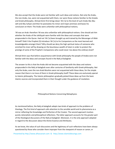We also accept that the Arabs were not familiar with such ideas and notions. Not only the Arabs, the non‐Arabs, too, were not acquainted with them, nor were those notions familiar to the Greeks and Greek philosophy. Ahmad Amin first brings down 'Ali ('a) to the level of such Arabs like Abu Jahl and Abu Sufyan and then he postulates his minor and major premises and bases his conclusion on them: The Arabs were unfamiliar with philosophical notions;

'Ali was an Arab: therefore 'Ali was also unfamiliar with philosophical notions. One should ask him whether the Arabs of the Jahiliyyah were familiar with the ideas and concepts that were propounded in the Quran. Had not 'Ali ('a) been brought up and trained by the Messenger of Allah himself? Didn't the Prophet (S) introduce 'Ali ('a) to his Companions as the most learned and knowledgeable amongst them? Why should we deny the high spiritual status of someone who enriched his inner self by drawing on the bounteous wealth of Islam in order to protect the prestige of some of the Prophet's Companions who could never rise above the ordinary level?

Ahmad Amin says that before acquaintance with Greek philosophy the people of Arabia were not familiar with the ideas and concepts found in the Nahj al‐balaghah.

The answer to this is that the Arabs did not become acquainted with the ideas and notions propounded in the Nahj al‐balaghah even after centuries of familiarity with Greek philosophy. Not only the Arabs, even the non‐Arab Muslims were not acquainted with these ideas, for the simple reason that there is no trace of them in Greek philosophy itself! These ideas are exclusively special to Islamic philosophy. The Islamic philosophers gradually picked these ideas up from the basic Islamic sources and incorporated them in their thought under the guidance of revelation.

Philosophical Notions Concerning Metaphysics

As mentioned before, the Nahj al‐balaghah adopts two kinds of approach to the problems of theology. The first kind of approach calls attention to the sensible world and its phenomena as a mirror reflecting the Knowledge and Perfection of the Creator. The second approach involves purely rationalistic and philosophical reflections. The latter approach accounts for the greater part of the theological discussions of the Nahj al‐balaghah. Moreover, it is the only approach adopted in regard to the discussion about the Divine Essence and Attributes.

As we know, the value of such discussions and the legitimacy of such reflections have been always questioned by those who consider them improper from the viewpoint of reason or canon, or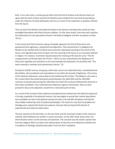both. In our own times, a certain group claims that this kind of analysis and inference does not agree with the spirit of Islam and that the Muslims were initiated into such kind of speculations under the influence of Greek philosophy and not as a result of any inspiration or guidance effused from the Quran.

They say that if the Muslims had adhered closely to the Quranic teachings they would not have entangled themselves with these tortuous clebates. For the same reason, they view with suspicion the authenticity of such speculations found in the Nahj al‐balaghah and their ascription to Imam 'Ali ('a).

In the second and third centuries a group of people opposed such kind of discussions and questioned their legitimacy, raising doctrinal objections. They insisted that it is obligatory for Muslims to be satisfied with the literal and commonly understood meaning of the words of the Quran, and regarded every kind of inquiry into the meaning of the Quran as an innovation (bid'ah) in religion. For instance, if someone inquired about the meaning of the Quranic verse "The All‐ compassionate sat Himself upon the Throne " [20:5], he was confronted by the displeasure of those who regarded such questions as not only improper but distasteful. He would be told: "The exact meaning is unknown and questioning is heresy". [2]

During the 3rd/9th century, this group, which later came to be called Ash'arites, overwhelmed the Mu'tazilites, who considered such speculations to be within the bounds of legitimacy. This victory of the Asharites delivered a severe blow to the intellectual life of Islam. The Akhbaris, who were a Shi'i school which flourished during the period between the 10th/16th and the 14th/20th centuries‐and particularly during the 10th/16th and 11th/17th centuries‐followed the Asha'irah in their ideas and beliefs. They raised doctrinal objections against ratiocination. Now we shall proceed to discuss the objections raised from a rationalist point of view.

As a result of the triumph of the empirical and experimental method over the deductive approach in Europe, especially in the physical sciences, the view began to prevail that rational speculation was unreliable not only in the physical sciences but also in all scientific disciplines and that the only reliable method was that of empirical philosophy. The result of it was that tne problems of theology were viewed with doubt and suspicion, because they lay beyond the domain of experimental and empirical observation.

The past victories of the Ash'arites, on the one hand, and the amazing triumphs of the empirical method, which followed one another in quick succession, on the other hand, drove some non‐ Shi'ite Muslim writers to the extremes of excitement. The outcome was the eclectic opinion that from the religious (Shar'i) as well as the rational point of view the use of deductive method even in problems of theology should be discarded. From the Shar'i viewpoint,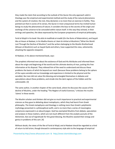they made the claim that according to the outlook of the Quran the only approach valid in theology was the empirical and experimental method and the study of the natural phenomena and the system of creation; the rest, they declared, is no more than an exercise in futility. They pointed out that in scores of its verses, the Quran in most unequivocal terms has invited human beings to study the phenomena of nature; it considers the keys to the secrets of the origin and workings of the universe to be concealed within nature itself. In this way they echoed, in their writings and speeches, the ideas expressed by the European proponents of empirical philosophy .

Farid al‐Wajdi in his book 'Ala atlal al‐madhhab al‐maddi (On the Ruins of Materialism), and Sayyid Abu al‐Hasan al‐Nadawi, in his Madha khasira al‐'alam bi‐inhitat al‐Muslimin ("What the World Lost Through the Decline of Muslims") and the writers belonging to the Muslim Brotherhood (Ikhwan al‐Muslimin) such as Sayyid Qutb and others, have supported this view, vehemently attacking the opposite viewpoint.

Al‐Nadawi, in his above‐mentioned book, says:

The prophets informed men about the existence of God and His Attributes and informed them about the origin and beginning of the world and the ultimate destiny of man, putting this free information at his disposal. They relieved him of the need to understand and discuss these problems the basics of which lie beyond our reach (because these problems belong to the sphere of the supra‐sensible and our knowledge and experience is limited to the physical and the sensible). But men did not value this blessing and entangled themselves in debates and speculations about these problems, and strode into the dark regions of the hidden and the unknowable. [3]

The same author, in another chapter of the same book, where he discusses the causes of the decline of Muslims, under the heading "The Neglect of Useful Sciences," criticizes the muslim 'ulama' in these words:

The Muslim scholars and thinkers did not give as much importance to practical and experimental sciences as they gave to debating about metaphysics, which they had learnt from Greek philosophy. The Greek metaphysics and theology is nothing more than Greek's polytheistic mythology presented in a philosophical outfit, and is no more than a series of meaningless conjectures expressed in an absurd jargon. God has exempted Muslims from debate, speculation and analysis in these matters, which are not much different from the analytic pursuits of the Alchemists. But out of ingratitude for this great blessing, the Muslims wasted their energy and genius in problems of this sort. [4]

Without doubt, the views of the like of Farid al‐Wajd; and al‐Nadawi should be regarded as a kind of return to Ash'arism, though dressed in contemporary style akin to the language of empirical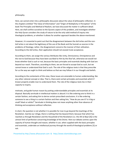#### philosophy.

Here, we cannot enter into a philosophic discussion about the value of philosophic reflection. In the chapters entitled "The Value of Information" and "Origin of Multiplicity in Perception" of the book The Principles and Method of Realism, we have discussed the matter in sufficient detail. Here, we shall confine ourselves to the Quranic aspect of this problem, and investigate whether the Holy Quran considers the study of nature to be the only valid method of inquiry into theological problems, or whether it allows for another approach besides the above-mentioned.

However, it is essential to point out that the disagreement between the Ash'arites and the non-Ash'arites is not about the legitimacy of the use of the Book and the Sunnah as sources in the problems of theology; rather, the disagreement concerns the manner of their utilization. According to the Ash'arites, their application should not exceed mute acceptance.

According to them, we assign the various Attributes like Unity, Omniscience, Omnipotence and the rest to God because they have been ascribed to Him by the Shar'iah, otherwise we would not know whether God is such or not, because the basic principles and essentials dealing with God are beyond our reach. Therefore, according to them, we are forced to accept God as such, but we cannot know or understand that God is such. The role of the religious texts is that they prescribe for us the way we ought to think and believe so that we may follow it in our thought and beliefs.

According to the contestants of this view, these issues are amenable to human understanding, like any other rational concept or idea. That is, there exist certain principles and essentials which if known properly enable man to understand them. The role of the religious texts lies in their capacity to inspire,

motivate, and guide human reason by putting understandable principles and essentials at its disposal. Basically servitude in intellectual matters is absurd. It is like ordering one to think in a certain fashion, and asking him to derive certain prescribed conclusions. It is like ordering someone to see a thing in a certain fashion and then asking him, "How do you see it? Is it big or small? black or white?" Servitude in thinking does not mean anything other than absence of thinking and acceptance without reflection.

In short, the question is not whether it is possible for man to go beyond the teachings of the Revelation. God be our refuge, there is nothing that lies beyond them; because that which has reached us through Revelation and the Household of the Revelation (i.e. the Ahl al‐Bayt [A]) is the utmost limit of perfection concerning knowledge of the Divine. Here our debate centres upon the capacity of human thought and reason, whether it can, when supplied with the basic principles and essentials, undertake an intellectual journey through the world of theological problems [5] or not.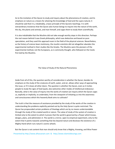As to the invitation of the Quran to study and inquiry about the phenomena of creation, and its emphasis on nature as a means for attaining the knowledge of God and the supra‐natural, it should be said that it is, indubitably, a basic principle of the Quranic teachings. It is with extraordinary insistence that the Quran asks human beings to inquire into the nature of the earth, the sky, the plants and animals, and man himself, and urges them to study them scientifically.

It is also indubitable that the Muslims did not take enough worthy steps in this direction. Perhaps the real reason behind it was Greek philosophy, which was deductive and based on pure speculation, and they used this approach even in the field of the physical sciences. Nevertheless, as the history of science bears testimony, the muslim scientists did not altogether abandon the experimental method in their studies like the Greeks. The Muslims were the pioneers of the experimental method, not the Europeans, as is commonly thought, who followed on the tracks first laid by the Muslims.

The Value of Study of the Natural Phenomena

Aside from all of this, the question worthy of consideration is whether the Quran, besides its emphasis on the study of the creatures of earth, water, and air, allows other ways of approaching the issue, or if it closes all other doors. The question is whether the Quran, even as it invites people to study the signs of God (ayat), also welcomes other modes of intellectual endeavour. Basically, what is the value of inquiry into the works of creation (an inquiry which the Quran urges us, explicitly or implicitly, to undertake), from the viewpoint of initiating us into the awareness and consciousness which this heavenly Book aims to cultivate?

The truth is that the measure of assistance provided by the study of the works of the creation in understanding the problems explicitly pointed out by the Holy Quran is quite restricted. The Quran has propounded certain problems of theology which are by no means understandable through the study of the created world or nature. The value of study of the system of creation is limited only to the extent to which it proves that the world is governed by a Power which knows, designs, plans, and administers it. The world is a mirror, open to empirical experiment, only to the extent that it points towards something that lies beyond nature and discloses the existence of a Mighty Hand which runs nature's cosmic wheels.

Presented by http://www.alhassanain.com & http://www.islamicblessings.com But the Quran is not content that man should only know that a Mighty, Knowing, and Wise Power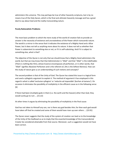administers this universe. This may perhaps be true of other heavenly scriptures, but is by no means true of the Holy Quran, which is the final and ultimate heavenly message and has a great deal to say about God and the reality transcending nature.

#### **Purely Rationalistic Problems**

The most basic problem to which the mere study of the world of creation fails to provide an answer is the necessity of existence and uncreatedness of the Power which transcends nature. The world is a mirror in the sense that it indicates the existence of a Mighty Hand and a Wise Power, but it does not tell us anything more about Its nature. It does not tell us whether that Power is subservient to something else or not, or if it is self‐subsisting. And if it is subject to something else, what is that?

The objective of the Quran is not only that we should know that a Mighty Hand administers the world, but that we may know that that Administrator is "Allah" and that "Allah" is the indefinable: (There is nothing like Him), whose Essence encompasses all perfection, or in other words, that "Allah" signifies Absolute Perfection and is the referent of, (His is the loftiest likeness). How can the study of nature give us an understanding of such notions and concepts?

The second problem is that of the Unity of God. The Quran has stated this issue in a logical form and used a syllogistic argument to explain it. The method of argument it has employed in this regard is what is called 'exclusive syllogism' or 'reductio ad impossible' (burhan al‐tamanu'). On occasion it eliminates the possibility of multiplicity in the efficient cause as in the following verse: [6]

If there had been (multiple) gods in them (i.e. the earth and the heaven) other than God, they would surely go to ruin ... (21:22)

At other times it argues by eliminating the possibility of multiplicity in the final cause:

God has not taken to Himself any son, nor is there any god besides Him; for then each god would have taken off that he created and some of them would have risen up over others ... (23:91)

The Quran never suggests that the study of the system of creation can lead us to the knowledge of the Unity of the Godhead so as to imply that the essential knowledge of the transcendental Creator be considered attainable from that source. Moreover, such a suggestion would not have been correct.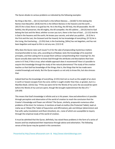The Quran alludes to various problems as indicated by the following examples:

No thing is like Him ... (42:11) And God's is the loftiest likeness ... (16:60) To Him belong the Names most Beautiful. (20:8) And His is the loftiest likeness in the heavens and the earth ... (30:27) He is God, there is no god but He. He is the King, the All‐holy, the All‐peaceable. the All‐ faithful, the All‐preserver, the All‐mighty, the All‐compeller, the All‐sublime ... (59:23) And to God belong the East and the West; whither so ever you turn, there is the Face of God ... (2:115) And He is God in the heavens and the earth; He knows your secrets, and what you publish ... (6:3) He is the First and the Last, the Outward and the Inward; He has knowledge of everything. (57:3) He is the Living, the Everlasting ... (2:255) God, is the Everlasting, [Who] has not begotten, and has not been begotten and equal to Him is not any one. (112:2‐4)

Why does the Quran raise such issues? Is it for the sake of propounding mysterious matters incomprehensible to man, who, according to al‐Nadawi, lacks the knowledge of its essential principles, and then asking him to accept them without comprehending their meaning? Or, the Quran actually does want him to know God through the attributes and descriptions that have come in it? And, if this is true, what reliable approach does it recommend? How is it possible to acquire this knowledge through the study of the natural phenomena? The study of the creation teaches us that God has knowledge of the things; that is, the things that He has made were created knowingly and wisely. But the Quran expects us not only to know this, but also stresses that:

Indeed God has the knowledge of everything. (2:231) And not so much as the weight of an atom in earth or heaven escapes from thy Lord, neither is aught smaller than that, or greater, but in a Manifest Book. (10:61) Say: "If the sea were ink for the Words of my Lord, the sea would be spent before the Words of my Lord are spent, though We brought replenishment the like of it. " (18:109)

This means that God's knowledge is infinite and so is His power. How and wherefore is it possible through perception and observation of the world of creation to reach the conclusion that the Creator's Knowledge and Power are infinite? The Quran, similarly, propounds numerous other problems of the kind. For instance, it mentions al-lawh al-mahfuz (the Protected Tablet), lawh almahw wa al‐'ithbat (The Tablet of Expunction and Affirmation), jabr and ikhtiyar (determinism and free will), wahy (revelation) and ilham (intuition), etc.; none of which are susceptible to inquiry through the empirical study of the world of creation.

It must be admitted that the Quran, definitely, has raised these problems in the form of a series of lessons and has emphasized their importance through advice and exhortation. The following verses of the Quran may be quoted in this connection: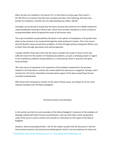What, do they not meditate in the Quran? Or is it that there are locks upon their hearts? .... (47:24) (This is) a Scripture that We have revealed unto thee, full of blessing, that they may ponder its revelations, and that men of understanding may reflect. (38:29)

Inevitably, we are forced to accept that the Quran assumes the existence of a reliable method for understanding the meaning of these truths, which have not been revealed as a series of obscure incomprehensibles which lie beyond the reach of the human mind.

The scope of problems propounded by the Quran in the sphere of metaphysics is far greater than what can be resolved or be answered through the study of physical creation. This is the reason why the Muslims have pursued these problems, at times through spiritual and gnostic efforts, and at other times through speculative and rational approach.

I wonder whether those who claim that the Quran considers the study of nature as the sole, sufficient means for the solution of metaphysical problems, can give a satisfying answer in regard to the multifarious problems propounded by it, a characteristic which is special to this great heavenly Book.

'Ali's sole source of inspiration in his exposition of the problems mentioned in the previous chapters is the Holy Quran, and the sole motive behind his discourses is exegetical. Perhaps, had it not been for 'Ali ('a) the rationalistic and speculative aspects of the Quran would have forever remained uninterpreted.

After these brief introductory remarks on the value of these issues, we shall go on to cite some relevant examples from the Nahj al‐balaghah.

#### The Divine Essence and Attributes

In this section we shall cite some examples of the Nahj al‐balaghah's treatment of the problems of theology related with Divine Essence and Attributes. Later we shall make a brief comparative study of the issue in various schools and conclude our discussion on this aspect of the Nahj al‐ balaghah.

However, before proceeding further, I ask for the reader's pardon that the discussion in the last three sections became a bit technical and philosophical, which is not very welcome for those not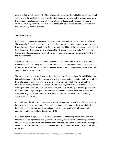used to it. But what is the remedy? Discussion on a book such as the Nahj al‐balaghah does entail such ups and downs. For this reason, we shall limit ourselves to giving only a few examples from the book on this subject, and refrain from any elaborate discussion. Because, if we were to comment on every sentence of the Nahj al‐balaghah, the result will be, as is said: My mathnawi requires seventy maunds of paper.

#### **The Divine Essence**

Does the Nahj al-balaghah have anything to say about the Divine Essence and how to define it? The answer is, Yes, and a lot. However, much of the discussion revolves around the point that the Divine Essence is Absolute and Infinite Being, without a quiddity. His Essence accepts no limits and boundaries like other beings, static or changeable, which are limited and finite. A changeable being is one which constantly transcends its former limits and assumes new ones. But such is not the Divine Essence.

Quiddity, which may qualify and confine Him within limits of finitude, is not applicable to Him. None of the aspects of being are devoid of His Presence, and no kind of imperfection is appllicable to Him, except absence of any imperfection whatsoever: the only thing amiss in Him is absence of defect or inadequacy of any kind.

The sole kind of negation applicable to Him is the negation of all negations. The only kind of nonbeing attributable to Him is the negation of any kind of imperfection in relation to Him. He is free from all shades of non‐being which characterize the creatures and effects. He is free from finitude, multiplicity, divisibility, and need. The only territory that He does not enter is that of nothingness and non‐being. He is with every thing, but not in any thing, and nothing is with Him. He is not within things, though not out of them. He is over and above every kind of condition, state, similarity, and likeness. For, these qualities relate to limited and determinate beings characterized by quiddity:

He is with everything but not in the sense of [physical] nearness. He is different from every thing but not in the sense of separation. (Sermon 1 ) He is not inside things in the sense of physical [pervasion or] penetration, and is not outside them in the sense of [physical] exclusion [for exclusion entails a kind of finitude]. (Sermon 186)

He is distinct from things because He overpowers them, and the things are distinct from Him because of their subjection to Him. (Sermon 152) That is, His distinctness from things lies in the fact that He has authority and control over them. However, His power, authority and sovereignty, unlike that of the creatures, is not accompanied with simultaneous weakness, subjugation, and subjection.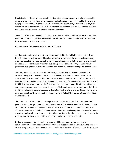His distinction and separateness from things lies in the fact that things are totally subject to His power and authority, and that which is subject and subordinated can never be like the one who subjugates and commands control over it. His separateness from things does not lie in physical separation but is on account of the distinction which lies between the Provider and the provided, the Perfect and the imperfect, the Powerful and the weak.

These kind of ideas are replete in 'Ali's discourses. All the problems which shall be discussed later are based on the principle that Divine Essence is Absolute and Infinite, and the concepts of limit, form and condition do not apply to it.

## **Divine Unity an Ontological, not a Numerical Concept**

Another feature of tawhid (monotheism) as propounded by the Nahj al‐balaghah is that Divine Unity is not numerical, but something else. Numerical unity means the oneness of something which has possibility of recurrence. It is always possible to imagine that the quiddity and form of an existent is realizable in another individual being. In such cases, the unity of an individual possessing that quiddity is numerical oneness and stands in opposition to duplicity or multiplicity.

'It is one,' means that there is not another like it, and inevitably this kind of unity entails the quality of being restricted in number, which is a defect; because one is lesser in number as compared to two or more of its kind. But, if a being be such that assumption of recurrence with regard to it is impossible, since it is infinite and unlimited, and if we assume another like it to exist, it will follow that it is the same as the first being or that it is something which is not similar to it and therefore cannot be called a second instance of it. In such a case, unity is not numerical. That is, this kind of unity is not one opposed to duplicity or multiplicity, and when it is said 'It is one,' it does not mean that 'there are not two, three or more of its kind,' but it means that a second to it is unconceivable.

This notion can further be clarified through an example. We know that the astronomers and physicists are not in agreement about the dimensions of the universe, whether it is limited in size or infinite. Some scientists have favoured the idea of an unlimited and infinite universe; others claim that the universe is limited in dimensions so that if we travel in any direction, we shall reach a point beyond which there is no space. The other issue is whether the universe in which we live is the only universe in existence, or if there are other universes existing besides it.

Evidently, the assumption of another physical world beyond our own is a corollary to the assumption that our universe is not infinite. Only in this case it is possible to assume the existence of, say, two physical universes each of which is limited and has finite dimensions. But if we assume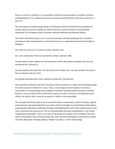that our universe is infinite, it is not possible to entertain the assumption of another universe existing beyond it. For, whatever we were to assume would be identical with this universe or a part of it.

The assumption of another being similar to the Being of the One God-like the assumption of another physical universe besides an infinite material universe-amounts to assuming the impossible, for the Being of God is absolute: Absolute Selfhood and Absolute Reality.

The notion that Divine Unity is not a numerical concept, and that qualifying it by a number is synonymous with imposing limits on the Divine Essence, is repeatedly discussed by the Nahj albalaghah:

He is the One, but not in a numerical sense. (Sermon 152)

He is not confined by limits nor counted by numbers. (Sermon 186)

He who points to Him, admits for Him limitations; and he who admits limitations for Him has numbered Him. (Sermon 1)

He who qualifies Him limits Him. He who limits Him numbers Him. He who numbers Him denies His pre‐eternity. (Sermon 152)

Everything associated with unity is deficient except Him. (Sermon 65)

How beautiful, profound, and full of meaning is the last sentence. It states that everything except the Divine Essence is limited if it is one. That is, every thing for which another of its kind is conceivable is a limited being and an addition of another individual would increase its number. But this is not true of the Unity of the Divine Essence; for God's Unity lies in His greatness and infinity, for which a like, a second, an equal or a match is not conceivable.

This concept that Divine Unity is not a numerical notion is exclusively an Islamic concept, original and profound, and unprecedented in any other school of thought. Even the Muslim philosophers only gradually realized its profundity through contemplating the spirit of the original Islamic texts and in particular the discourses of 'Ali ('a), and ultimately formally incorporated it in the Islamic metaphysical philosophy. There is no trace of this profound concept in the writings of the early Islamic philosophers like al Farabi and Ibn Sina. Only the later philosophers ushered this concept into their philosophic thinking calling it "Really True Unity," in their terminology.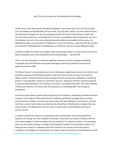#### God, The First and the Last; the Manifest and the Hidden

Of the many issues discussed by the Nahj al‐balaghah is the notion that God is the First and the Last, the Hidden and the Manifest. Of course this, too, like other notions, has been deduced from the Holy Quran; though here we are not going to quote the verses from the Quran. God is the First, but His precedence is not temporal so as to be in contradiction with His being the Last. He is the Manifest, but not in the sense of being physically visible or perceptible to the senses; His Manifestness does not contradict His Hiddenness. In fact His Firstness is identical with His Lastness and similarly His Manifestness and Hiddenness are identical; they are not two different things:

Praise be to Allah, for whom one condition does not precede another, so that He may he the First before being the Last or may be Manifest before being Hidden ... (Sermon 65)

Time is not His accomplice, nor does He need the assistance of tools and agents His Being transcends time. His Existence transcends nothingness and His pre‐eternity transcends all beginning. (Sermon 186)

The Divine Essence's transcendence over time, nothingness, beginning, and end is one of the most profound concepts of al‐hikmah philosophy. God's pre‐eternity does not mean that God has always existed. Certainly God has always existed but Divine pre‐eternity (azaliyyah) is something greater in meaning than 'existence at all times'; because, 'existing at all times' assumes existence in time; but God's Being has not only been at all times, It precedes time itself. This is the meaning of Divine pre‐eternity. This shows that His precedence is something other than temporal precedence.

Praise be to God, whose creation bears testimony to His Existence; temporality (huduth) of whose creation is the evidence of His preternity the similarity and likeness amongst whose creation proves that He is unique. The senses do not perceive Him and nothing can conceal Him. (Sermon 152) That is, God is both Hidden and Manifest. By Himself He is Manifest but is Hidden from the human senses. His Hiddenness from the senses is due to man's own limitations and not on account of Him.

It needs no proof that existence is synonymous with manifestation; the more powerful the existence of a being, the more manifest it would be. Conversely, the weaker its being is and the more intermingled it is with non-being, the less manifest it is to itself and others. For everything, there are two modes of being: its being-in-itself (wujud fi nagsih), and its being-for-others. The being of every thing for us depends upon the structure of our senses and certain special conditions. Accordingly, the manifestation of a thing is also of two kinds: its manifestation-in-itself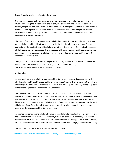(zuhur fi nafsih) and its manifestation‐for‐others.

Our senses, on account of their limitations, are able to perceive only a limited number of finite objects possessing the characteristics of similarity and opposition. The senses can perceive colours, shapes, sounds, etc., which are limited temporally and spacially; that is, their existence is confined within a particular time and place. Now if there existed a uniform light, always and everywhere, it would not be perceptible. A continuous monotonous sound heard always and everywhere would not be audible.

The Being of God, which is absolute being and absolute reality, is not confined to any particular time and place, and is hidden from our senses. But God in Himself is absolutely manifest; the perfection of His manifestness, which follows from the perfection of His Being, is itself the cause of His hiddenness from our senses. The two aspects of His manifestness and hiddenness are one and the same in His Essence. He is hidden because He is perfectly manifest, and this perfect manifestness conceals Him.

Thou, who art hidden on account of Thy perfect brilliance, Thou Art the Manifest, hidden in Thy manifestness. The veil on Thy face is also Thy face, So manifest Thou art, Thy manifestness conceals Thee from the world's eyes.

## **An Appraisal**

An appraisal however brief of the approach of the Nahj al‐balaghah and its comparison with that of other schools of thought is essential for discovering the true worth of its views on the problems of theology. We shall confine ourselves to the brief, though not quite sufficient, examples quoted in the foregoing pages and proceed to evaluate them.

The subject of the Divine Essence and Attributes is one which has been discussed a lot by the ancient and modern philosophers, mystics and Sufis of the East and the West. But in general their method and approach is totally different from that of the Nahj al‐balaghah, whose approach is highly original and unprecedented. Only in the Holy Quran can be found a precedent for the Nahj al‐balaghah. Apart from the Holy Quran, we do not find any other source that provides some ground for the discourses of the Nahj al‐balaghah.

As pointed out earlier, some scholars, because of their failure to trace back to some earlier source the notions elaborated in the Nahj al‐balaghah, have questioned the authenticity of ascription of these discourses to 'Ali ('a). They have supposed that these discourses appeared in a later period, after the appearance of the Mu'tazilites and assimilation of Greek thought, heedless of the saying:

The mean earth with the sublime heaven does not compare!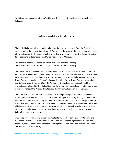What ignorance to compare the Mu'tazilite and Greek ideas with the teachings of the Nahj al‐ balaghah !

#### The Nahj al‐balaghah and the Notions of Kalam

The Nahj al‐balaghah, while it ascribes all the Attributes of perfection to God, the Exalted, negates any separation of these Attributes from His Essence and does not consider them as an appendage of Divine Essence. On the other hand, the Ash'arites, as we know, consider the Divine Attributes to be additional to Essence and the Mu'tazilites negate all Attributes.

The Ash'arite believes in Separation [of the Attributes from the Essence] The Mu'tazilite speaks of subservience [of the Attributes to the Essence].

This has led some to imagine that the discourses found in the Nahj al‐balaghah on this topic are fabrications of a later period under the influence of Mu'tazilite views; whereas, anyone with some insight can readily perceive that the Attributes negated by the Nahj al‐balaghah with respect to Divine Essence are qualities of imperfection and limitation; for the Divine Essence, being infinite and limitless, necessitates identity of the Attributes with the Essence, not negation of the Attributes as professed by the Mu'tazilites. Had the Mu'tazilites reached such a notion they would never have negated the Divine Attributes considering them subservient to the Essence.

The same is true of the views on the createdness or temporality (huduth) of the Quran in the sermon 184. One may, possibly, imagine that these passages of the Nahj al-balaghah relate to the latter heated controversies among the Islamic theologians (mutakallimun) regarding the eternity (qidam) or temporality (huduth) of the Holy Quran, and which might have been added to the Nahj al-balaghah during the latter centuries. However, a little reflection will reveal that the discourses of the Nahj al-balaghah related to this issue have nothing to do with the debate on the Quran being either created or uncreated,

which was a meaningless controversy, but relates to the creative command (amr takwini), and Will of the Almighty. 'Ali ('a) says that God's Will and His command represent Divine Acts and, therefore, are hadith and posterior to the Essence; for if the command and Will were co‐eternal and identical with His Essence,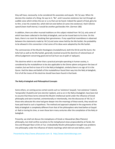they will have, necessarily, to be considered His associates and equals. 'Ali ('a) says: When He decrees the creation of a thing, He says to it, "Be", and it assumes existence; but not through an audible voice which strikes the ear or a cry that can be heard. Indeed the speech of God, glory be to Him, is but His created Act, which did not exist before [it came into existence]. Had it (Divine speech) been itself eternal, it would be another god besides Him. (Sermon 186)

In addition, there are other musnad traditions on this subject related from 'Ali ('a), only some of which have been collected in the Nahj al-balaghah, and can be traced back to his time. On this basis, there is no room for doubting their genuineness. If any superficial resemblance is observed between the statements made by 'Ali ('a) and some views held by the Mu'tazilah, the probability to be allowed in this connection is that some of his ideas were adopted by the Mu'tazilah.

The controversies of the Muslim theologians (mutakallimun), both the Shi'ah and the Sunni, the Asha'irah as well as the Mu'tazilah, generally revolved around the doctrine of rational basis of ethical judgement concerning good and evil (al‐husn wa al‐qubh al‐'aqliyyan).

This doctrine which is not other than a practical principle operating in human society, is considered by the mutakallimun to be also applicable to the Divine sphere and govern the laws of creation; but we find no trace of it in the Nahj al‐balaghah, similarly there is no sign of it in the Quran. Had the ideas and beliefs of the mutakallimun found their way into the Nahj al‐balaghah, first of all the traces of this doctrine should have been found in that book.

#### **The Nahj al‐balaghah and Philosophical Concepts**

Some others, on coming across certain words such as 'existence' (wujud), 'non‐existence' ('adam), 'temporality' (huduth) and 'pre‐eternity' (qidam), and so on in the Nahj al‐balaghah, have been led to assume that these terms entered the Muslim intellectual world under the influence of Greek philosophy and were inserted, unintentionally or intentionally, into the discourses of 'Ali ('a). If those who advocate this view had gone deeper into the meanings of these words, they would not have paid heed to such a hypothesis. The method and approach adopted in the arguments of the Nahj al‐balaghah is completely different from that of the philosophers who lived before al‐Sayyid al- Radi or during his time, or even those born many centuries after the compilation of the Nahj albalalghah .

Presently, we shall not discuss the metaphysics of Greek or Alexandrian (Neo‐Platonic) philosophy, but shall confine ourselves to the metaphysical views propounded by al‐Farabi, Ibn Sina and Khwajah Nasir al‐Din al‐Tusi. Undoubtedly Muslim philosophers brought new problems into philosophy under the influence of Islamic teachings which did not exist before, and in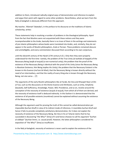addition to them, introduced radically original ways of demonstration and inference to explain and argue their point with regard to some other problems. Nevertheless, what we learn from the Nahj al‐balaghah is obviously different from this approach.

My teacher, 'Allamah Tabataba'i, in the preface to his discourse on the traditions of Islamic scholarship, writes:

These statements help in resolving a number of problems in the theological philosophy. Apart from the fact that Muslims were not acquainted with these notions and they were incomprehensible to the Arabs, basically there is no trace of them in the writings and statements of pre‐Islamic philosophers whose books were translated into Arabic, and, similarly, they do not appear in the works of Muslim philosophers, Arab or Persian. These problems remained obscure and unintelligible, and every commentator discussed them according to his own conjecture,

until the eleventh century of the Hijrah (17th century A.D.). Only then they were properly understood for the first time‐ namely, the problem of the True Unity (al‐wahdat al‐haqqah) of the Necessary Being (wajib al‐wujud) (a non‐numerical unity); the problem that the proof of the existence of the Necessary Being is identical with the proof of His Unity (since the Necessary Being is Absolute Existence, Him Being implies His Unity); the problem that the Necessary Existent is the known-in-His-Essence (ma'lum bil dhat); that the Necessary Being is known directly without the need of an intermediary, and that the reality of every thing else is known through the Necessary Being, not vice versa ... [7]

The arguments of the early Muslim philosophers like al‐Farabi, Ibn Sina and Khwajah Nasir al‐Din al-Tusi, such as the discussions on the Divine Essence and Attributes, such as Unity, Simplicity (basatah), Self‐Sufficiency, Knowledge, Power, Will, Providence, and so on, revolve around the conception of the necessity of existence (wujub al‐wujud), from which all of them are derived, and the necessity of existence itself is deduced indirectly. In this fashion it is demonstrated that the existence of all possible existents (mumkinat) cannot be explained without assuming the existence of the Necessary Being.

Although the argument used for proving the truth of this cannot be called demonstration per impossible (burhan khulf) in view of its indirect mode of inference, it resembles burhan khulf and hence it fails to provide completely satisfactory demonstration, for it does not explain the necessity of existence of the Necessary Being. Ibn Sina in his al‐'Isharat claims that he has succeeded in discovering "the Why?" (lima) of it and hence chooses to call his argument "burhan al‐siddiqin" (burhan limmi, i.e. causal proof). However, the latter philosophers considered his exposition of "the Why?" (lima) as insufficient.

In the Nahj al‐balaghah, necessity of existence is never used to explain the existence of the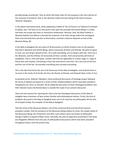possible beings (mumkinat). That on which this book relies for this purpose is the real criterion of the necessity of existence, that is, the absolute reality and pure being of the Divine Essence. 'Allamah Tabataba'i,

in the above‐mentioned work, while explaining a hadith of 'Ali ('a) found in al‐Tawhid of al‐Shaykh al-Saduq, says: The basis of our discussion rests upon the principle that Divine Being is a reality that does not accept any limits or restrictions whatsoever. Because, God, the Most Exalted, is Absolute Reality from Whom is derived the existence of all other beings within the ontological limits and characteristics peculiar to themselves, and their existence depends on that of the Absolute Being. [8]

In the Nahj al‐balaghah the very basis of all discussions on Divine Essence rests on the position that God is Absolute and Infinite Being, which transcends all limits and finitude. No point of space or time, nor any thing is devoid of Him. He is with everything, yet no thing is with Him. Since He is the Absolute, and the Infinite, He transcends all time, number, limit and proximity (all kinds of quiddities). That is, time and space, number and limit are applicable to a lower stage i.e. stage of Divine Acts and creation. Everything is from Him and returns unto Him. He is the First of the first and the Last of the last. He precedes everything and succeeds everything.

This is the idea that forms the axis of all discourses of the Nahj al‐balaghah, and of which there is no trace in the works of al‐Farabi, Ibn Sina, Ibn Rushd, al‐Ghazali, and Khwajah Nasir al‐Din al‐Tusi.

As pointed out by 'Allamah Tabataba'i, these profound discussions of theology proper (ilahiyyat bil‐ma'na al‐'akhass) are based on a series of inter‐related problems which have been posited in metaphysics (al‐'umur al‐'ammah). [9] An elaborate discussion of those theological problems and their relevant issues mentioned above is outside the scope of our present discussion.

There are two reasons for rejecting the claims that the theological discussions of the Nahj al‐ balaghah were inventions of later writers familiar with philosophical notions. Firstly, the kind of problems discussed in the Nahj al‐balaghah were not at all raised by any philosopher till the time of al‐Sayyid al‐Radi, the compiler of the Nahj al‐balaghah.

That the Unity of the Necessary Being is not of the numerical kind and that Divine Essence precedes number; that the existence of the Necessary Being implies Its Unity; the simple reality of the Necessary Being; His immanence and other such notions were not known to philosophy during or before al‐Sayyid al‐Radi's times. Secondly, the axes of arguments presented in this book are altogether different from the axes of philosophical discussions which have been prevalent throughout history until the present day.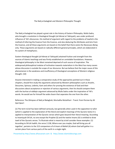### The Nahj al‐balaghah and Western Philosophic Thought

The Nahj al‐balaghah has played a great role in the history of Eastern Philosophy. Mulla Sadra, who brought a revolution in theological thought (al-hikmat al-'ilahiyyah), was under profound influence of 'Ali's discourses. His method of argument with regard to the problems of tawhid is the method of inferring the Essence from the Essence, and also deducing the Attributes and Acts from the Essence, and all these arguments are based on the belief that there exists the Necessary Being only. These arguments are based on radically different general principles, which are elaborated in his system of metaphysics.

Eastern theological thought (al‐hikmat al‐'ilahiyyah) attained fruition and strength from the sources of Islamic teachings and was firmly established on unviolable foundations. However, theological philosophy in the West remained deprived of such source of inspiration. The widespread philosophical malaise of inclination towards materialism in the West has many causes whose discussion is outside the scope of our discourse. But we believe that the major cause of this phenomenon is the weakness and insufficiency of theological conceptions of Western religious thought. [10]

Anyone interested in making a comparative study of the approaches pointed out in these chapters, should first study the arguments advanced by Western philosophers such as Anselm, Descartes, Spinoza, Leibnitz, Kant and others for proving the existence of God and their discussions about acceptance or rejection of various arguments, then he should compare them with the burhan al-siddigin argument advanced by Mulla Sadra under the inspiration of 'Ali's words. He would see for himself the wide chasm that separates the one from the other.

Reference: The Glimpses of Nahj al Balaghah; Murtadha Mutahhari ‐ Transl. from Persian by Ali Quli Qara'i

[1] The term ta'wil has been defined variously, but generally when used in the opposition to tafsir (which is applied to the explanation of the literal and explicit meanings of the Quranic texts) it is applied to interpretation of the Quranic verses which goes beyond their literal meaning. According to Imamiyyah Shi'ah, no one except the Prophet (S) and the twelve Imams (A) is entitled to draw tawil of the Quranic verses. To illustrate what is meant by ta'wil consider these examples: (1) According to Shi'ah hadith, the verse 2:158, Where ever you maybe, God will bring you all together', pertains to the 313 companions of al Imam al Mahdi (A) whom God will gather in a certain place from various parts of the earth in a single night.